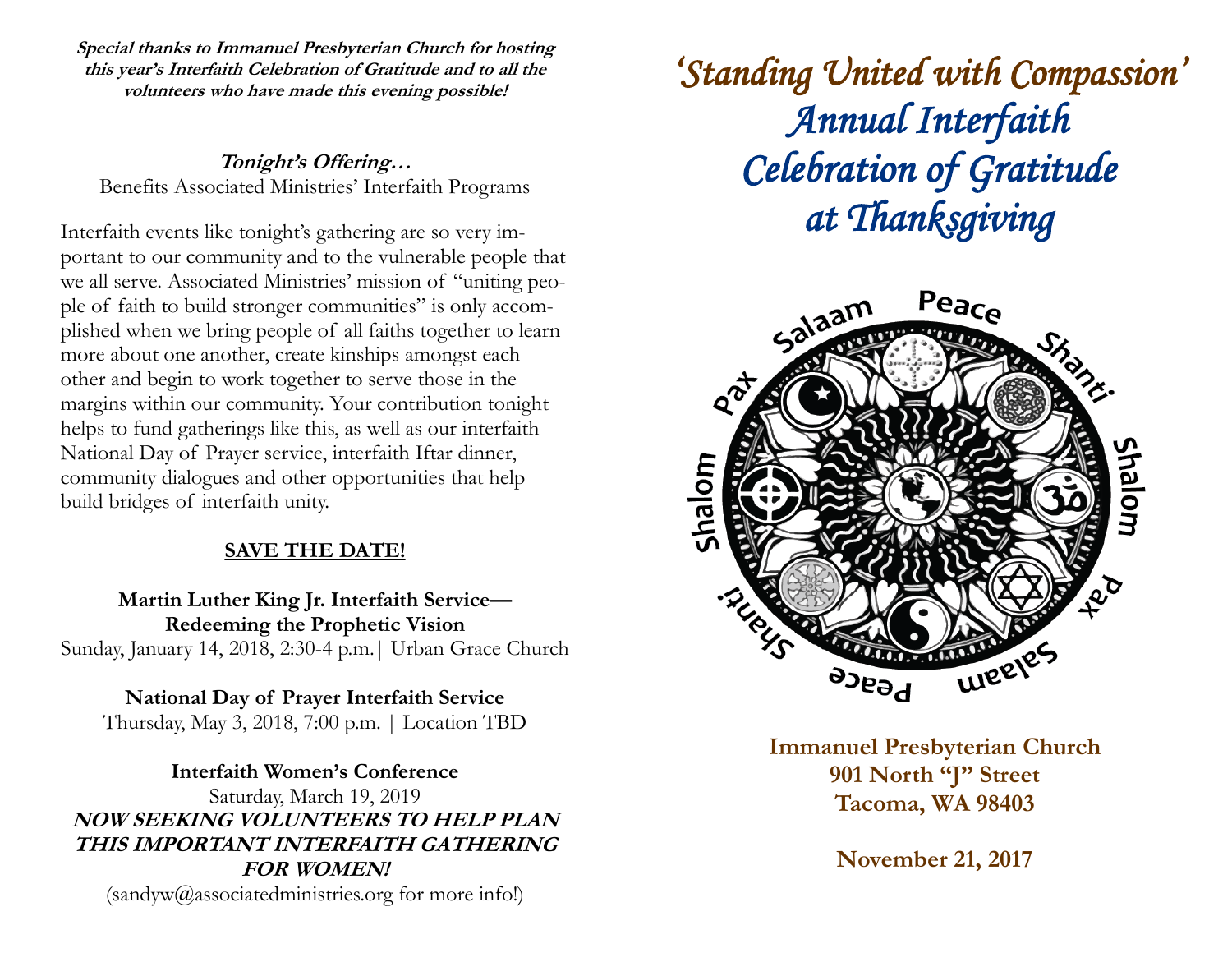**Special thanks to Immanuel Presbyterian Church for hosting this year's Interfaith Celebration of Gratitude and to all the volunteers who have made this evening possible!**

**Tonight's Offering…** Benefits Associated Ministries' Interfaith Programs

Interfaith events like tonight's gathering are so very important to our community and to the vulnerable people that we all serve. Associated Ministries' mission of "uniting people of faith to build stronger communities" is only accomplished when we bring people of all faiths together to learn more about one another, create kinships amongst each other and begin to work together to serve those in the margins within our community. Your contribution tonight helps to fund gatherings like this, as well as our interfaith National Day of Prayer service, interfaith Iftar dinner, community dialogues and other opportunities that help build bridges of interfaith unity.

#### **SAVE THE DATE!**

**Martin Luther King Jr. Interfaith Service— Redeeming the Prophetic Vision** Sunday, January 14, 2018, 2:30-4 p.m.| Urban Grace Church

**National Day of Prayer Interfaith Service** Thursday, May 3, 2018, 7:00 p.m. | Location TBD

**Interfaith Women's Conference** Saturday, March 19, 2019 **NOW SEEKING VOLUNTEERS TO HELP PLAN THIS IMPORTANT INTERFAITH GATHERING FOR WOMEN!** (sandyw@associatedministries.org for more info!)

*'Standing United with Compassion' Annual Interfaith Celebration of Gratitude at Thanksgiving* 



**Immanuel Presbyterian Church 901 North "J" Street Tacoma, WA 98403**

**November 21, 2017**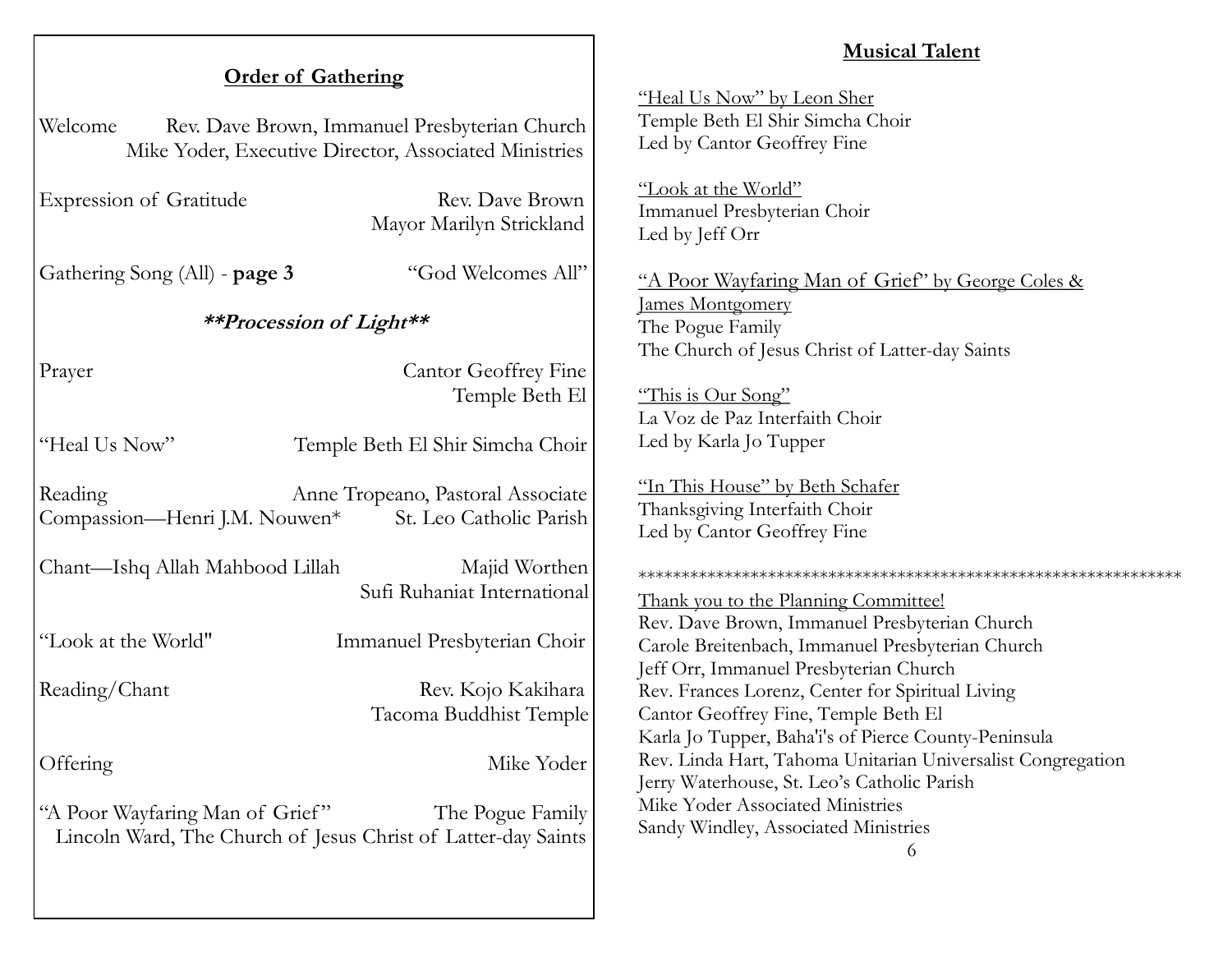#### **Musical Talent**

\*\*\*\*\*\*\*\*\*\*\*\*\*\*\*\*\*\*\*\*\*\*\*\*\*\*\*\*\*\*\*\*\*\*\*\*\*\*\*\*\*\*\*\*\*\*\*\*\*\*\*\*\*\*\*\*\*\*\*\*\*\*\*

"Heal Us Now" by Leon Sher

#### **Order of Gathering**

| Welcome<br>Rev. Dave Brown, Immanuel Presbyterian Church<br>Mike Yoder, Executive Director, Associated Ministries    |                                                              | Temple Beth El Shir Simcha Choir<br>Led by Cantor Geoffrey Fine                                                                                  |
|----------------------------------------------------------------------------------------------------------------------|--------------------------------------------------------------|--------------------------------------------------------------------------------------------------------------------------------------------------|
| <b>Expression of Gratitude</b>                                                                                       | Rev. Dave Brown<br>Mayor Marilyn Strickland                  | "Look at the World"<br>Immanuel Presbyterian Choir<br>Led by Jeff Orr                                                                            |
| Gathering Song (All) - page 3                                                                                        | "God Welcomes All"                                           | "A Poor Wayfaring Man of Grief" by George Coles &                                                                                                |
| **Procession of Light**                                                                                              |                                                              | <b>James Montgomery</b><br>The Pogue Family<br>The Church of Jesus Christ of Latter-day Saints                                                   |
| Prayer                                                                                                               | <b>Cantor Geoffrey Fine</b><br>Temple Beth El                | "This is Our Song"<br>La Voz de Paz Interfaith Choir                                                                                             |
| "Heal Us Now"                                                                                                        | Temple Beth El Shir Simcha Choir                             | Led by Karla Jo Tupper                                                                                                                           |
| Reading<br>Compassion-Henri J.M. Nouwen*                                                                             | Anne Tropeano, Pastoral Associate<br>St. Leo Catholic Parish | "In This House" by Beth Schafer<br>Thanksgiving Interfaith Choir<br>Led by Cantor Geoffrey Fine                                                  |
| Chant—Ishq Allah Mahbood Lillah<br>Majid Worthen<br>Sufi Ruhaniat International                                      |                                                              | Thank you to the Planning Committee!<br>Rev. Dave Brown, Immanuel Presbyterian Church                                                            |
| "Look at the World"                                                                                                  | Immanuel Presbyterian Choir                                  | Carole Breitenbach, Immanuel Presbyterian Church<br>Jeff Orr, Immanuel Presbyterian Church                                                       |
| Reading/Chant                                                                                                        | Rev. Kojo Kakihara<br>Tacoma Buddhist Temple                 | Rev. Frances Lorenz, Center for Spiritual Living<br>Cantor Geoffrey Fine, Temple Beth El<br>Karla Jo Tupper, Baha'i's of Pierce County-Peninsula |
| Offering                                                                                                             | Mike Yoder                                                   | Rev. Linda Hart, Tahoma Unitarian Universalist Congregation<br>Jerry Waterhouse, St. Leo's Catholic Parish                                       |
| "A Poor Wayfaring Man of Grief"<br>The Pogue Family<br>Lincoln Ward, The Church of Jesus Christ of Latter-day Saints |                                                              | Mike Yoder Associated Ministries<br>Sandy Windley, Associated Ministries<br>6                                                                    |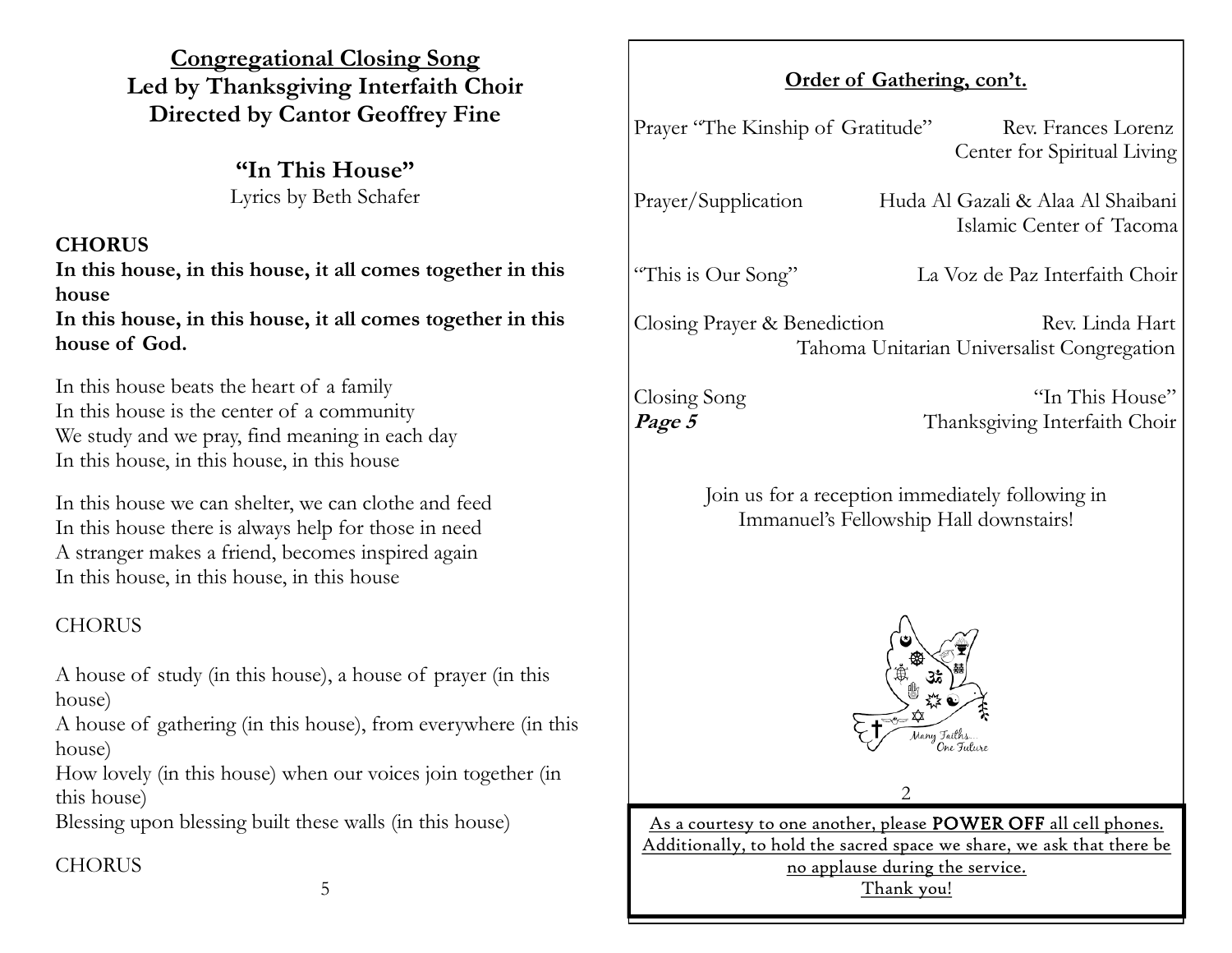| <b>Congregational Closing Song</b>      |
|-----------------------------------------|
| Led by Thanksgiving Interfaith Choir    |
| <b>Directed by Cantor Geoffrey Fine</b> |

**"In This House"** Lyrics by Beth Schafer

## **CHORUS**

**In this house, in this house, it all comes together in this house**

**In this house, in this house, it all comes together in this house of God.**

In this house beats the heart of a family In this house is the center of a community We study and we pray, find meaning in each day In this house, in this house, in this house

In this house we can shelter, we can clothe and feed In this house there is always help for those in need A stranger makes a friend, becomes inspired again In this house, in this house, in this house

## **CHORUS**

A house of study (in this house), a house of prayer (in this house)

A house of gathering (in this house), from everywhere (in this house)

How lovely (in this house) when our voices join together (in this house)

Blessing upon blessing built these walls (in this house)

## **CHORUS**

## **Order of Gathering, con't.**

Prayer "The Kinship of Gratitude" Rev. Frances Lorenz Center for Spiritual Living

Prayer/Supplication Huda Al Gazali & Alaa Al Shaibani Islamic Center of Tacoma

"This is Our Song" La Voz de Paz Interfaith Choir

Closing Prayer & Benediction Rev. Linda Hart Tahoma Unitarian Universalist Congregation

Closing Song "In This House" **Page 5** Thanksgiving Interfaith Choir

> Join us for a reception immediately following in Immanuel's Fellowship Hall downstairs!



 $\mathcal{D}$ 

As a courtesy to one another, please POWER OFF all cell phones. Additionally, to hold the sacred space we share, we ask that there be no applause during the service. Thank you!

5